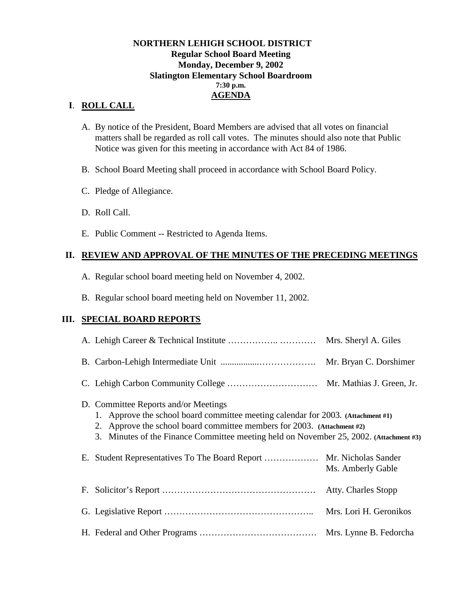#### **NORTHERN LEHIGH SCHOOL DISTRICT Regular School Board Meeting Monday, December 9, 2002 Slatington Elementary School Boardroom 7:30 p.m. AGENDA**

## **I**. **ROLL CALL**

- A. By notice of the President, Board Members are advised that all votes on financial matters shall be regarded as roll call votes. The minutes should also note that Public Notice was given for this meeting in accordance with Act 84 of 1986.
- B. School Board Meeting shall proceed in accordance with School Board Policy.
- C. Pledge of Allegiance.
- D. Roll Call.
- E. Public Comment -- Restricted to Agenda Items.

## **II. REVIEW AND APPROVAL OF THE MINUTES OF THE PRECEDING MEETINGS**

- A. Regular school board meeting held on November 4, 2002.
- B. Regular school board meeting held on November 11, 2002.

## **III. SPECIAL BOARD REPORTS**

| D. Committee Reports and/or Meetings<br>1. Approve the school board committee meeting calendar for 2003. (Attachment #1)<br>2. Approve the school board committee members for 2003. (Attachment #2)<br>3. Minutes of the Finance Committee meeting held on November 25, 2002. (Attachment #3) |                     |
|-----------------------------------------------------------------------------------------------------------------------------------------------------------------------------------------------------------------------------------------------------------------------------------------------|---------------------|
| E. Student Representatives To The Board Report  Mr. Nicholas Sander                                                                                                                                                                                                                           | Ms. Amberly Gable   |
|                                                                                                                                                                                                                                                                                               | Atty. Charles Stopp |
|                                                                                                                                                                                                                                                                                               |                     |
|                                                                                                                                                                                                                                                                                               |                     |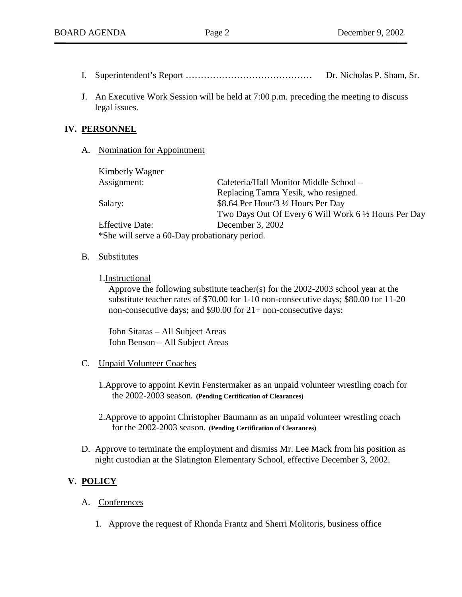- I. Superintendent's Report …………………………………… Dr. Nicholas P. Sham, Sr.
- J. An Executive Work Session will be held at 7:00 p.m. preceding the meeting to discuss legal issues.

### **IV. PERSONNEL**

A. Nomination for Appointment

| Kimberly Wagner        |                                                       |  |
|------------------------|-------------------------------------------------------|--|
| Assignment:            | Cafeteria/Hall Monitor Middle School –                |  |
|                        | Replacing Tamra Yesik, who resigned.                  |  |
| Salary:                | \$8.64 Per Hour/3 1/2 Hours Per Day                   |  |
|                        | Two Days Out Of Every 6 Will Work 6 1/2 Hours Per Day |  |
| <b>Effective Date:</b> | December 3, 2002                                      |  |
|                        | *She will serve a 60-Day probationary period.         |  |

B. Substitutes

#### 1.Instructional

Approve the following substitute teacher(s) for the 2002-2003 school year at the substitute teacher rates of \$70.00 for 1-10 non-consecutive days; \$80.00 for 11-20 non-consecutive days; and \$90.00 for 21+ non-consecutive days:

John Sitaras – All Subject Areas John Benson – All Subject Areas

#### C. Unpaid Volunteer Coaches

- 1.Approve to appoint Kevin Fenstermaker as an unpaid volunteer wrestling coach for the 2002-2003 season**. (Pending Certification of Clearances)**
- 2.Approve to appoint Christopher Baumann as an unpaid volunteer wrestling coach for the 2002-2003 season**. (Pending Certification of Clearances)**
- D. Approve to terminate the employment and dismiss Mr. Lee Mack from his position as night custodian at the Slatington Elementary School, effective December 3, 2002.

# **V. POLICY**

## A. Conferences

1. Approve the request of Rhonda Frantz and Sherri Molitoris, business office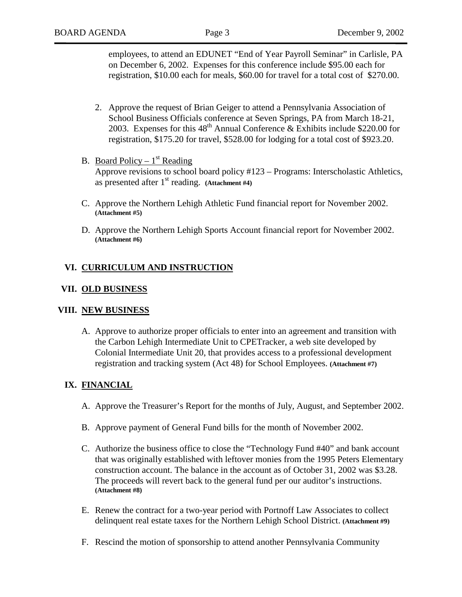employees, to attend an EDUNET "End of Year Payroll Seminar" in Carlisle, PA on December 6, 2002. Expenses for this conference include \$95.00 each for registration, \$10.00 each for meals, \$60.00 for travel for a total cost of \$270.00.

- 2. Approve the request of Brian Geiger to attend a Pennsylvania Association of School Business Officials conference at Seven Springs, PA from March 18-21, 2003. Expenses for this  $48<sup>th</sup>$  Annual Conference & Exhibits include \$220.00 for registration, \$175.20 for travel, \$528.00 for lodging for a total cost of \$923.20.
- B. Board Policy  $1<sup>st</sup>$  Reading Approve revisions to school board policy #123 – Programs: Interscholastic Athletics, as presented after  $1<sup>st</sup>$  reading. **(Attachment #4)**
- C. Approve the Northern Lehigh Athletic Fund financial report for November 2002. **(Attachment #5)**
- D. Approve the Northern Lehigh Sports Account financial report for November 2002. **(Attachment #6)**

## **VI. CURRICULUM AND INSTRUCTION**

## **VII. OLD BUSINESS**

## **VIII. NEW BUSINESS**

A. Approve to authorize proper officials to enter into an agreement and transition with the Carbon Lehigh Intermediate Unit to CPETracker, a web site developed by Colonial Intermediate Unit 20, that provides access to a professional development registration and tracking system (Act 48) for School Employees. **(Attachment #7)**

# **IX. FINANCIAL**

- A. Approve the Treasurer's Report for the months of July, August, and September 2002.
- B. Approve payment of General Fund bills for the month of November 2002.
- C. Authorize the business office to close the "Technology Fund #40" and bank account that was originally established with leftover monies from the 1995 Peters Elementary construction account. The balance in the account as of October 31, 2002 was \$3.28. The proceeds will revert back to the general fund per our auditor's instructions. **(Attachment #8)**
- E. Renew the contract for a two-year period with Portnoff Law Associates to collect delinquent real estate taxes for the Northern Lehigh School District. **(Attachment #9)**
- F. Rescind the motion of sponsorship to attend another Pennsylvania Community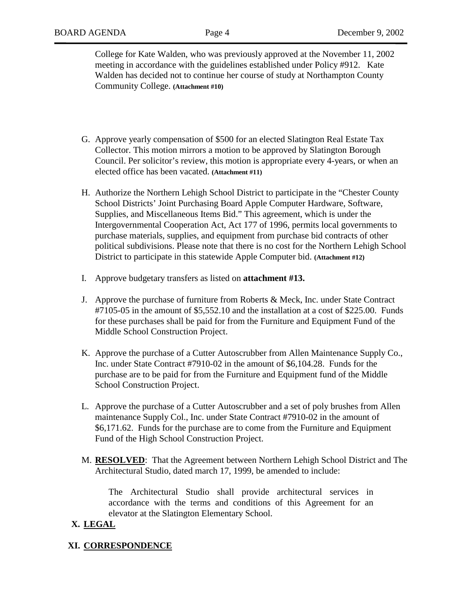College for Kate Walden, who was previously approved at the November 11, 2002 meeting in accordance with the guidelines established under Policy #912. Kate Walden has decided not to continue her course of study at Northampton County Community College. **(Attachment #10)**

- G. Approve yearly compensation of \$500 for an elected Slatington Real Estate Tax Collector. This motion mirrors a motion to be approved by Slatington Borough Council. Per solicitor's review, this motion is appropriate every 4-years, or when an elected office has been vacated. **(Attachment #11)**
- H. Authorize the Northern Lehigh School District to participate in the "Chester County School Districts' Joint Purchasing Board Apple Computer Hardware, Software, Supplies, and Miscellaneous Items Bid." This agreement, which is under the Intergovernmental Cooperation Act, Act 177 of 1996, permits local governments to purchase materials, supplies, and equipment from purchase bid contracts of other political subdivisions. Please note that there is no cost for the Northern Lehigh School District to participate in this statewide Apple Computer bid. **(Attachment #12)**
- I. Approve budgetary transfers as listed on **attachment #13.**
- J. Approve the purchase of furniture from Roberts & Meck, Inc. under State Contract #7105-05 in the amount of \$5,552.10 and the installation at a cost of \$225.00. Funds for these purchases shall be paid for from the Furniture and Equipment Fund of the Middle School Construction Project.
- K. Approve the purchase of a Cutter Autoscrubber from Allen Maintenance Supply Co., Inc. under State Contract #7910-02 in the amount of \$6,104.28. Funds for the purchase are to be paid for from the Furniture and Equipment fund of the Middle School Construction Project.
- L. Approve the purchase of a Cutter Autoscrubber and a set of poly brushes from Allen maintenance Supply Col., Inc. under State Contract #7910-02 in the amount of \$6,171.62. Funds for the purchase are to come from the Furniture and Equipment Fund of the High School Construction Project.
- M. **RESOLVED**: That the Agreement between Northern Lehigh School District and The Architectural Studio, dated march 17, 1999, be amended to include:

The Architectural Studio shall provide architectural services in accordance with the terms and conditions of this Agreement for an elevator at the Slatington Elementary School.

# **X. LEGAL**

## **XI. CORRESPONDENCE**